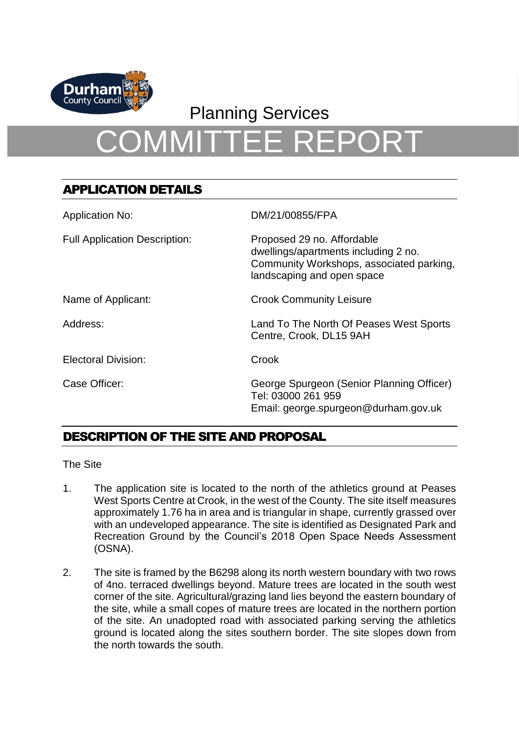

## Planning Services

# COMMITTEE REPORT

## APPLICATION DETAILS

| <b>Application No:</b>               | DM/21/00855/FPA                                                                                                                              |
|--------------------------------------|----------------------------------------------------------------------------------------------------------------------------------------------|
| <b>Full Application Description:</b> | Proposed 29 no. Affordable<br>dwellings/apartments including 2 no.<br>Community Workshops, associated parking,<br>landscaping and open space |
| Name of Applicant:                   | <b>Crook Community Leisure</b>                                                                                                               |
| Address:                             | Land To The North Of Peases West Sports<br>Centre, Crook, DL15 9AH                                                                           |
| <b>Electoral Division:</b>           | Crook                                                                                                                                        |
| Case Officer:                        | George Spurgeon (Senior Planning Officer)<br>Tel: 03000 261 959<br>Email: george.spurgeon@durham.gov.uk                                      |

## DESCRIPTION OF THE SITE AND PROPOSAL

The Site

- 1. The application site is located to the north of the athletics ground at Peases West Sports Centre at Crook, in the west of the County. The site itself measures approximately 1.76 ha in area and is triangular in shape, currently grassed over with an undeveloped appearance. The site is identified as Designated Park and Recreation Ground by the Council's 2018 Open Space Needs Assessment (OSNA).
- 2. The site is framed by the B6298 along its north western boundary with two rows of 4no. terraced dwellings beyond. Mature trees are located in the south west corner of the site. Agricultural/grazing land lies beyond the eastern boundary of the site, while a small copes of mature trees are located in the northern portion of the site. An unadopted road with associated parking serving the athletics ground is located along the sites southern border. The site slopes down from the north towards the south.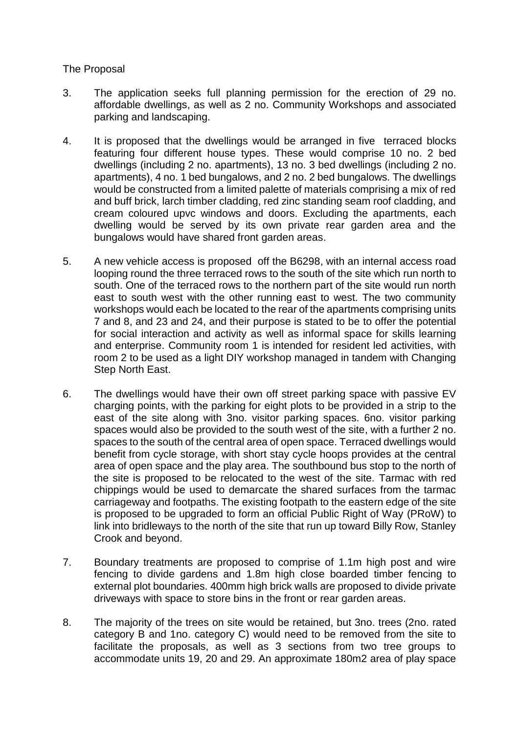#### The Proposal

- 3. The application seeks full planning permission for the erection of 29 no. affordable dwellings, as well as 2 no. Community Workshops and associated parking and landscaping.
- 4. It is proposed that the dwellings would be arranged in five terraced blocks featuring four different house types. These would comprise 10 no. 2 bed dwellings (including 2 no. apartments), 13 no. 3 bed dwellings (including 2 no. apartments), 4 no. 1 bed bungalows, and 2 no. 2 bed bungalows. The dwellings would be constructed from a limited palette of materials comprising a mix of red and buff brick, larch timber cladding, red zinc standing seam roof cladding, and cream coloured upvc windows and doors. Excluding the apartments, each dwelling would be served by its own private rear garden area and the bungalows would have shared front garden areas.
- 5. A new vehicle access is proposed off the B6298, with an internal access road looping round the three terraced rows to the south of the site which run north to south. One of the terraced rows to the northern part of the site would run north east to south west with the other running east to west. The two community workshops would each be located to the rear of the apartments comprising units 7 and 8, and 23 and 24, and their purpose is stated to be to offer the potential for social interaction and activity as well as informal space for skills learning and enterprise. Community room 1 is intended for resident led activities, with room 2 to be used as a light DIY workshop managed in tandem with Changing Step North East.
- 6. The dwellings would have their own off street parking space with passive EV charging points, with the parking for eight plots to be provided in a strip to the east of the site along with 3no. visitor parking spaces. 6no. visitor parking spaces would also be provided to the south west of the site, with a further 2 no. spaces to the south of the central area of open space. Terraced dwellings would benefit from cycle storage, with short stay cycle hoops provides at the central area of open space and the play area. The southbound bus stop to the north of the site is proposed to be relocated to the west of the site. Tarmac with red chippings would be used to demarcate the shared surfaces from the tarmac carriageway and footpaths. The existing footpath to the eastern edge of the site is proposed to be upgraded to form an official Public Right of Way (PRoW) to link into bridleways to the north of the site that run up toward Billy Row, Stanley Crook and beyond.
- 7. Boundary treatments are proposed to comprise of 1.1m high post and wire fencing to divide gardens and 1.8m high close boarded timber fencing to external plot boundaries. 400mm high brick walls are proposed to divide private driveways with space to store bins in the front or rear garden areas.
- 8. The majority of the trees on site would be retained, but 3no. trees (2no. rated category B and 1no. category C) would need to be removed from the site to facilitate the proposals, as well as 3 sections from two tree groups to accommodate units 19, 20 and 29. An approximate 180m2 area of play space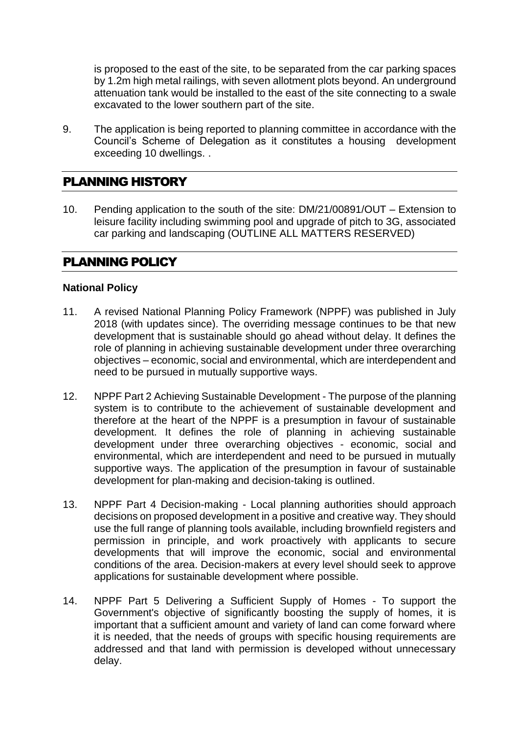is proposed to the east of the site, to be separated from the car parking spaces by 1.2m high metal railings, with seven allotment plots beyond. An underground attenuation tank would be installed to the east of the site connecting to a swale excavated to the lower southern part of the site.

9. The application is being reported to planning committee in accordance with the Council's Scheme of Delegation as it constitutes a housing development exceeding 10 dwellings. .

## PLANNING HISTORY

10. Pending application to the south of the site: DM/21/00891/OUT – Extension to leisure facility including swimming pool and upgrade of pitch to 3G, associated car parking and landscaping (OUTLINE ALL MATTERS RESERVED)

## PLANNING POLICY

#### **National Policy**

- 11. A revised National Planning Policy Framework (NPPF) was published in July 2018 (with updates since). The overriding message continues to be that new development that is sustainable should go ahead without delay. It defines the role of planning in achieving sustainable development under three overarching objectives – economic, social and environmental, which are interdependent and need to be pursued in mutually supportive ways.
- 12. NPPF Part 2 Achieving Sustainable Development The purpose of the planning system is to contribute to the achievement of sustainable development and therefore at the heart of the NPPF is a presumption in favour of sustainable development. It defines the role of planning in achieving sustainable development under three overarching objectives - economic, social and environmental, which are interdependent and need to be pursued in mutually supportive ways. The application of the presumption in favour of sustainable development for plan-making and decision-taking is outlined.
- 13. NPPF Part 4 Decision-making Local planning authorities should approach decisions on proposed development in a positive and creative way. They should use the full range of planning tools available, including brownfield registers and permission in principle, and work proactively with applicants to secure developments that will improve the economic, social and environmental conditions of the area. Decision-makers at every level should seek to approve applications for sustainable development where possible.
- 14. NPPF Part 5 Delivering a Sufficient Supply of Homes To support the Government's objective of significantly boosting the supply of homes, it is important that a sufficient amount and variety of land can come forward where it is needed, that the needs of groups with specific housing requirements are addressed and that land with permission is developed without unnecessary delay.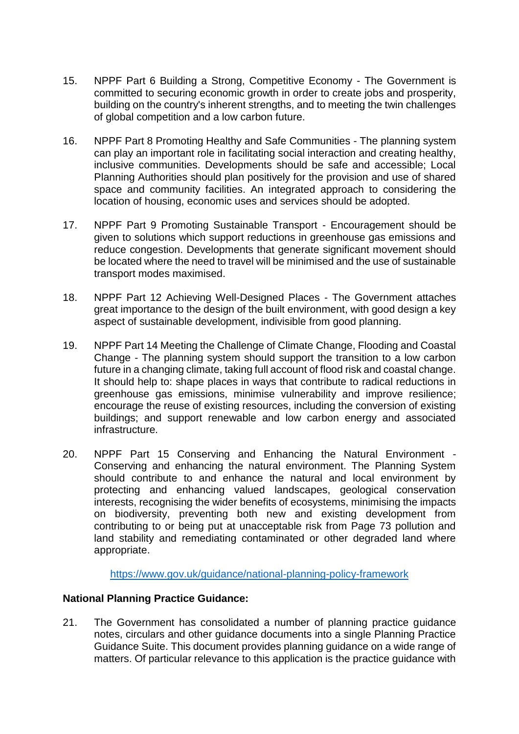- 15. NPPF Part 6 Building a Strong, Competitive Economy The Government is committed to securing economic growth in order to create jobs and prosperity, building on the country's inherent strengths, and to meeting the twin challenges of global competition and a low carbon future.
- 16. NPPF Part 8 Promoting Healthy and Safe Communities The planning system can play an important role in facilitating social interaction and creating healthy, inclusive communities. Developments should be safe and accessible; Local Planning Authorities should plan positively for the provision and use of shared space and community facilities. An integrated approach to considering the location of housing, economic uses and services should be adopted.
- 17. NPPF Part 9 Promoting Sustainable Transport Encouragement should be given to solutions which support reductions in greenhouse gas emissions and reduce congestion. Developments that generate significant movement should be located where the need to travel will be minimised and the use of sustainable transport modes maximised.
- 18. NPPF Part 12 Achieving Well-Designed Places The Government attaches great importance to the design of the built environment, with good design a key aspect of sustainable development, indivisible from good planning.
- 19. NPPF Part 14 Meeting the Challenge of Climate Change, Flooding and Coastal Change - The planning system should support the transition to a low carbon future in a changing climate, taking full account of flood risk and coastal change. It should help to: shape places in ways that contribute to radical reductions in greenhouse gas emissions, minimise vulnerability and improve resilience; encourage the reuse of existing resources, including the conversion of existing buildings; and support renewable and low carbon energy and associated infrastructure.
- 20. NPPF Part 15 Conserving and Enhancing the Natural Environment Conserving and enhancing the natural environment. The Planning System should contribute to and enhance the natural and local environment by protecting and enhancing valued landscapes, geological conservation interests, recognising the wider benefits of ecosystems, minimising the impacts on biodiversity, preventing both new and existing development from contributing to or being put at unacceptable risk from Page 73 pollution and land stability and remediating contaminated or other degraded land where appropriate.

<https://www.gov.uk/guidance/national-planning-policy-framework>

#### **National Planning Practice Guidance:**

21. The Government has consolidated a number of planning practice guidance notes, circulars and other guidance documents into a single Planning Practice Guidance Suite. This document provides planning guidance on a wide range of matters. Of particular relevance to this application is the practice guidance with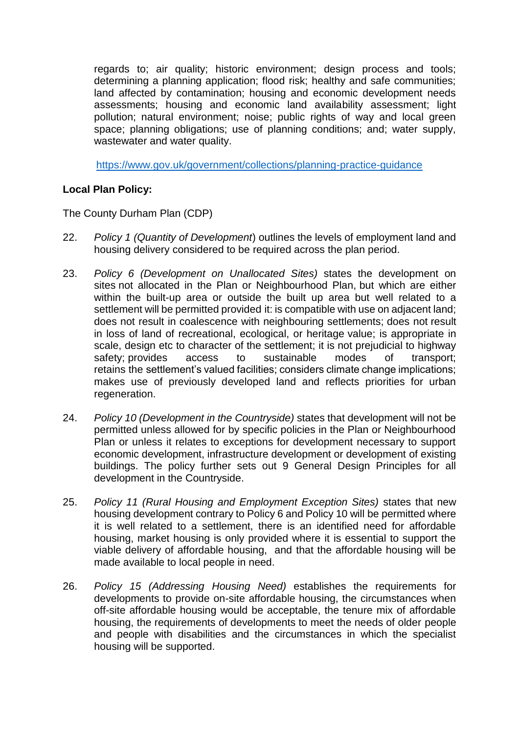regards to; air quality; historic environment; design process and tools; determining a planning application; flood risk; healthy and safe communities; land affected by contamination; housing and economic development needs assessments; housing and economic land availability assessment; light pollution; natural environment; noise; public rights of way and local green space; planning obligations; use of planning conditions; and; water supply, wastewater and water quality.

<https://www.gov.uk/government/collections/planning-practice-guidance>

## **Local Plan Policy:**

The County Durham Plan (CDP)

- 22. *Policy 1 (Quantity of Development*) outlines the levels of employment land and housing delivery considered to be required across the plan period.
- 23. *Policy 6 (Development on Unallocated Sites)* states the development on sites not allocated in the Plan or Neighbourhood Plan, but which are either within the built-up area or outside the built up area but well related to a settlement will be permitted provided it: is compatible with use on adjacent land; does not result in coalescence with neighbouring settlements; does not result in loss of land of recreational, ecological, or heritage value; is appropriate in scale, design etc to character of the settlement; it is not prejudicial to highway safety; provides access to sustainable modes of transport; retains the settlement's valued facilities; considers climate change implications; makes use of previously developed land and reflects priorities for urban regeneration.
- 24. *Policy 10 (Development in the Countryside)* states that development will not be permitted unless allowed for by specific policies in the Plan or Neighbourhood Plan or unless it relates to exceptions for development necessary to support economic development, infrastructure development or development of existing buildings. The policy further sets out 9 General Design Principles for all development in the Countryside.
- 25. *Policy 11 (Rural Housing and Employment Exception Sites)* states that new housing development contrary to Policy 6 and Policy 10 will be permitted where it is well related to a settlement, there is an identified need for affordable housing, market housing is only provided where it is essential to support the viable delivery of affordable housing, and that the affordable housing will be made available to local people in need.
- 26. *Policy 15 (Addressing Housing Need)* establishes the requirements for developments to provide on-site affordable housing, the circumstances when off-site affordable housing would be acceptable, the tenure mix of affordable housing, the requirements of developments to meet the needs of older people and people with disabilities and the circumstances in which the specialist housing will be supported.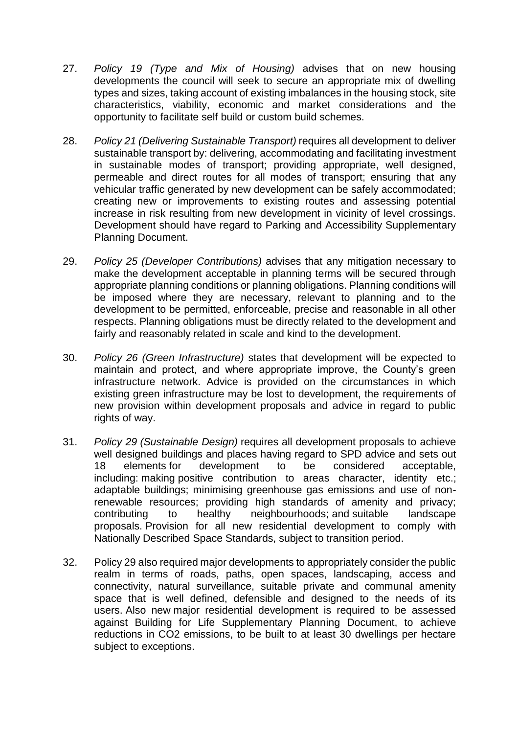- 27. *Policy 19 (Type and Mix of Housing)* advises that on new housing developments the council will seek to secure an appropriate mix of dwelling types and sizes, taking account of existing imbalances in the housing stock, site characteristics, viability, economic and market considerations and the opportunity to facilitate self build or custom build schemes.
- 28. *Policy 21 (Delivering Sustainable Transport)* requires all development to deliver sustainable transport by: delivering, accommodating and facilitating investment in sustainable modes of transport; providing appropriate, well designed, permeable and direct routes for all modes of transport; ensuring that any vehicular traffic generated by new development can be safely accommodated; creating new or improvements to existing routes and assessing potential increase in risk resulting from new development in vicinity of level crossings. Development should have regard to Parking and Accessibility Supplementary Planning Document.
- 29. *Policy 25 (Developer Contributions)* advises that any mitigation necessary to make the development acceptable in planning terms will be secured through appropriate planning conditions or planning obligations. Planning conditions will be imposed where they are necessary, relevant to planning and to the development to be permitted, enforceable, precise and reasonable in all other respects. Planning obligations must be directly related to the development and fairly and reasonably related in scale and kind to the development.
- 30. *Policy 26 (Green Infrastructure)* states that development will be expected to maintain and protect, and where appropriate improve, the County's green infrastructure network. Advice is provided on the circumstances in which existing green infrastructure may be lost to development, the requirements of new provision within development proposals and advice in regard to public rights of way.
- 31. *Policy 29 (Sustainable Design)* requires all development proposals to achieve well designed buildings and places having regard to SPD advice and sets out 18 elements for development to be considered acceptable, including: making positive contribution to areas character, identity etc.; adaptable buildings; minimising greenhouse gas emissions and use of nonrenewable resources; providing high standards of amenity and privacy; contributing to healthy neighbourhoods; and suitable landscape proposals. Provision for all new residential development to comply with Nationally Described Space Standards, subject to transition period.
- 32. Policy 29 also required major developments to appropriately consider the public realm in terms of roads, paths, open spaces, landscaping, access and connectivity, natural surveillance, suitable private and communal amenity space that is well defined, defensible and designed to the needs of its users. Also new major residential development is required to be assessed against Building for Life Supplementary Planning Document, to achieve reductions in CO2 emissions, to be built to at least 30 dwellings per hectare subject to exceptions.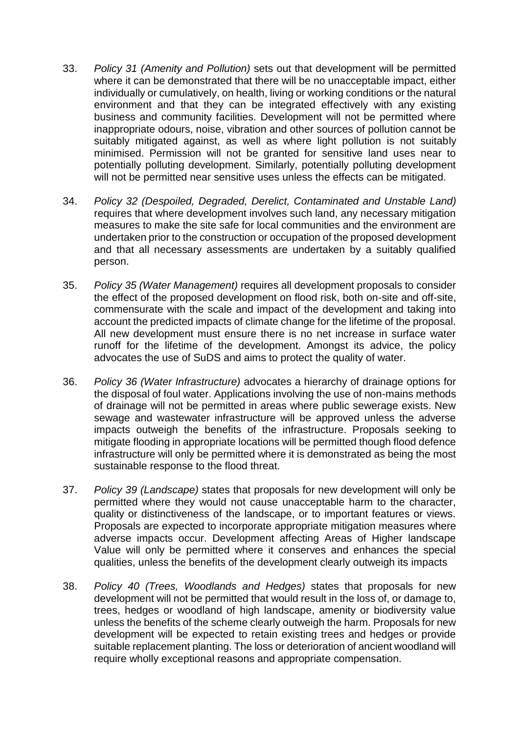- 33. *Policy 31 (Amenity and Pollution)* sets out that development will be permitted where it can be demonstrated that there will be no unacceptable impact, either individually or cumulatively, on health, living or working conditions or the natural environment and that they can be integrated effectively with any existing business and community facilities. Development will not be permitted where inappropriate odours, noise, vibration and other sources of pollution cannot be suitably mitigated against, as well as where light pollution is not suitably minimised. Permission will not be granted for sensitive land uses near to potentially polluting development. Similarly, potentially polluting development will not be permitted near sensitive uses unless the effects can be mitigated.
- 34. *Policy 32 (Despoiled, Degraded, Derelict, Contaminated and Unstable Land)* requires that where development involves such land, any necessary mitigation measures to make the site safe for local communities and the environment are undertaken prior to the construction or occupation of the proposed development and that all necessary assessments are undertaken by a suitably qualified person.
- 35. *Policy 35 (Water Management)* requires all development proposals to consider the effect of the proposed development on flood risk, both on-site and off-site, commensurate with the scale and impact of the development and taking into account the predicted impacts of climate change for the lifetime of the proposal. All new development must ensure there is no net increase in surface water runoff for the lifetime of the development. Amongst its advice, the policy advocates the use of SuDS and aims to protect the quality of water.
- 36. *Policy 36 (Water Infrastructure)* advocates a hierarchy of drainage options for the disposal of foul water. Applications involving the use of non-mains methods of drainage will not be permitted in areas where public sewerage exists. New sewage and wastewater infrastructure will be approved unless the adverse impacts outweigh the benefits of the infrastructure. Proposals seeking to mitigate flooding in appropriate locations will be permitted though flood defence infrastructure will only be permitted where it is demonstrated as being the most sustainable response to the flood threat.
- 37. *Policy 39 (Landscape)* states that proposals for new development will only be permitted where they would not cause unacceptable harm to the character, quality or distinctiveness of the landscape, or to important features or views. Proposals are expected to incorporate appropriate mitigation measures where adverse impacts occur. Development affecting Areas of Higher landscape Value will only be permitted where it conserves and enhances the special qualities, unless the benefits of the development clearly outweigh its impacts
- 38. *Policy 40 (Trees, Woodlands and Hedges)* states that proposals for new development will not be permitted that would result in the loss of, or damage to, trees, hedges or woodland of high landscape, amenity or biodiversity value unless the benefits of the scheme clearly outweigh the harm. Proposals for new development will be expected to retain existing trees and hedges or provide suitable replacement planting. The loss or deterioration of ancient woodland will require wholly exceptional reasons and appropriate compensation.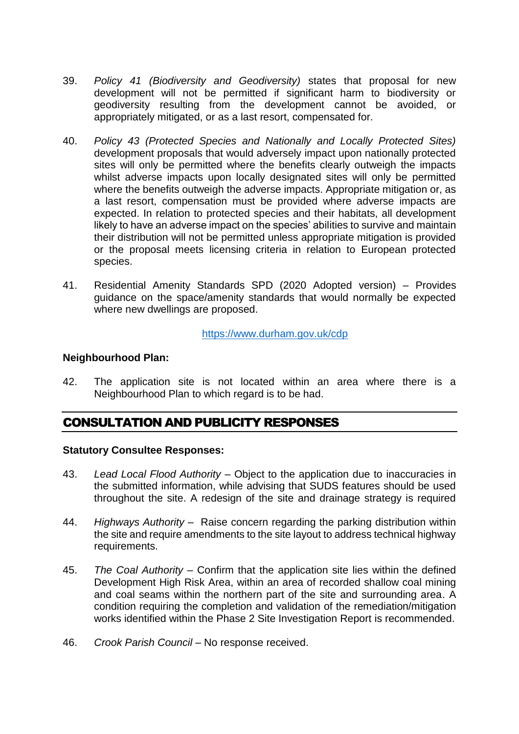- 39. *Policy 41 (Biodiversity and Geodiversity)* states that proposal for new development will not be permitted if significant harm to biodiversity or geodiversity resulting from the development cannot be avoided, or appropriately mitigated, or as a last resort, compensated for.
- 40. *Policy 43 (Protected Species and Nationally and Locally Protected Sites)* development proposals that would adversely impact upon nationally protected sites will only be permitted where the benefits clearly outweigh the impacts whilst adverse impacts upon locally designated sites will only be permitted where the benefits outweigh the adverse impacts. Appropriate mitigation or, as a last resort, compensation must be provided where adverse impacts are expected. In relation to protected species and their habitats, all development likely to have an adverse impact on the species' abilities to survive and maintain their distribution will not be permitted unless appropriate mitigation is provided or the proposal meets licensing criteria in relation to European protected species.
- 41. Residential Amenity Standards SPD (2020 Adopted version) Provides guidance on the space/amenity standards that would normally be expected where new dwellings are proposed.

#### <https://www.durham.gov.uk/cdp>

#### **Neighbourhood Plan:**

42. The application site is not located within an area where there is a Neighbourhood Plan to which regard is to be had.

## CONSULTATION AND PUBLICITY RESPONSES

#### **Statutory Consultee Responses:**

- 43. *Lead Local Flood Authority* Object to the application due to inaccuracies in the submitted information, while advising that SUDS features should be used throughout the site. A redesign of the site and drainage strategy is required
- 44. *Highways Authority* Raise concern regarding the parking distribution within the site and require amendments to the site layout to address technical highway requirements.
- 45. *The Coal Authority* Confirm that the application site lies within the defined Development High Risk Area, within an area of recorded shallow coal mining and coal seams within the northern part of the site and surrounding area. A condition requiring the completion and validation of the remediation/mitigation works identified within the Phase 2 Site Investigation Report is recommended.
- 46. *Crook Parish Council* No response received.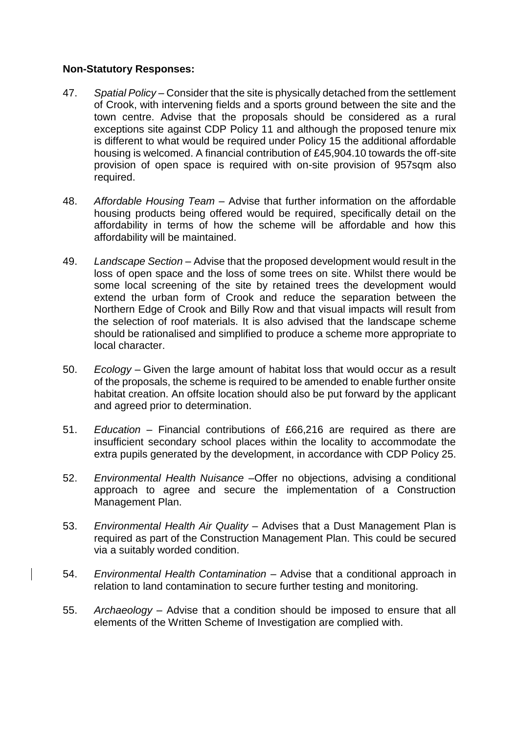#### **Non-Statutory Responses:**

- 47. *Spatial Policy* Consider that the site is physically detached from the settlement of Crook, with intervening fields and a sports ground between the site and the town centre. Advise that the proposals should be considered as a rural exceptions site against CDP Policy 11 and although the proposed tenure mix is different to what would be required under Policy 15 the additional affordable housing is welcomed. A financial contribution of £45,904.10 towards the off-site provision of open space is required with on-site provision of 957sqm also required.
- 48. *Affordable Housing Team* Advise that further information on the affordable housing products being offered would be required, specifically detail on the affordability in terms of how the scheme will be affordable and how this affordability will be maintained.
- 49. *Landscape Section* Advise that the proposed development would result in the loss of open space and the loss of some trees on site. Whilst there would be some local screening of the site by retained trees the development would extend the urban form of Crook and reduce the separation between the Northern Edge of Crook and Billy Row and that visual impacts will result from the selection of roof materials. It is also advised that the landscape scheme should be rationalised and simplified to produce a scheme more appropriate to local character.
- 50. *Ecology* Given the large amount of habitat loss that would occur as a result of the proposals, the scheme is required to be amended to enable further onsite habitat creation. An offsite location should also be put forward by the applicant and agreed prior to determination.
- 51. *Education* Financial contributions of £66,216 are required as there are insufficient secondary school places within the locality to accommodate the extra pupils generated by the development, in accordance with CDP Policy 25.
- 52. *Environmental Health Nuisance* –Offer no objections, advising a conditional approach to agree and secure the implementation of a Construction Management Plan.
- 53. *Environmental Health Air Quality* Advises that a Dust Management Plan is required as part of the Construction Management Plan. This could be secured via a suitably worded condition.
- 54. *Environmental Health Contamination* Advise that a conditional approach in relation to land contamination to secure further testing and monitoring.
- 55. *Archaeology* Advise that a condition should be imposed to ensure that all elements of the Written Scheme of Investigation are complied with.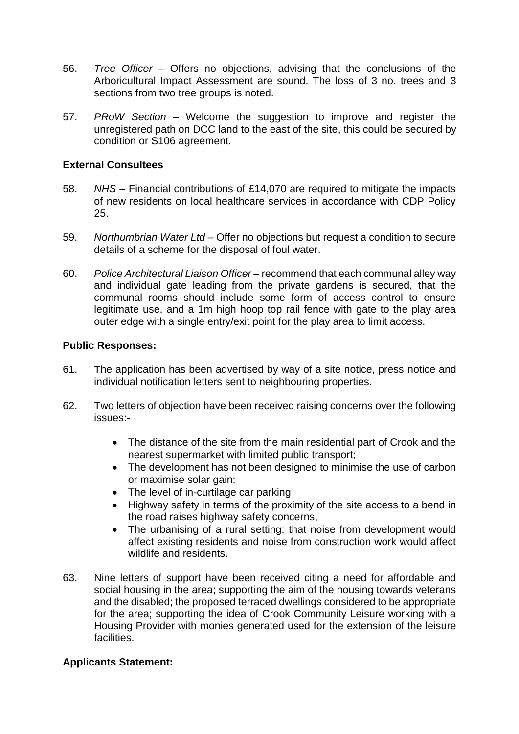- 56. *Tree Officer* Offers no objections, advising that the conclusions of the Arboricultural Impact Assessment are sound. The loss of 3 no. trees and 3 sections from two tree groups is noted.
- 57. *PRoW Section* Welcome the suggestion to improve and register the unregistered path on DCC land to the east of the site, this could be secured by condition or S106 agreement.

#### **External Consultees**

- 58. *NHS* Financial contributions of £14,070 are required to mitigate the impacts of new residents on local healthcare services in accordance with CDP Policy 25.
- 59. *Northumbrian Water Ltd* Offer no objections but request a condition to secure details of a scheme for the disposal of foul water.
- 60. *Police Architectural Liaison Officer* recommend that each communal alley way and individual gate leading from the private gardens is secured, that the communal rooms should include some form of access control to ensure legitimate use, and a 1m high hoop top rail fence with gate to the play area outer edge with a single entry/exit point for the play area to limit access.

#### **Public Responses:**

- 61. The application has been advertised by way of a site notice, press notice and individual notification letters sent to neighbouring properties.
- 62. Two letters of objection have been received raising concerns over the following issues:-
	- The distance of the site from the main residential part of Crook and the nearest supermarket with limited public transport;
	- The development has not been designed to minimise the use of carbon or maximise solar gain;
	- The level of in-curtilage car parking
	- Highway safety in terms of the proximity of the site access to a bend in the road raises highway safety concerns,
	- The urbanising of a rural setting; that noise from development would affect existing residents and noise from construction work would affect wildlife and residents.
- 63. Nine letters of support have been received citing a need for affordable and social housing in the area; supporting the aim of the housing towards veterans and the disabled; the proposed terraced dwellings considered to be appropriate for the area; supporting the idea of Crook Community Leisure working with a Housing Provider with monies generated used for the extension of the leisure **facilities**

#### **Applicants Statement:**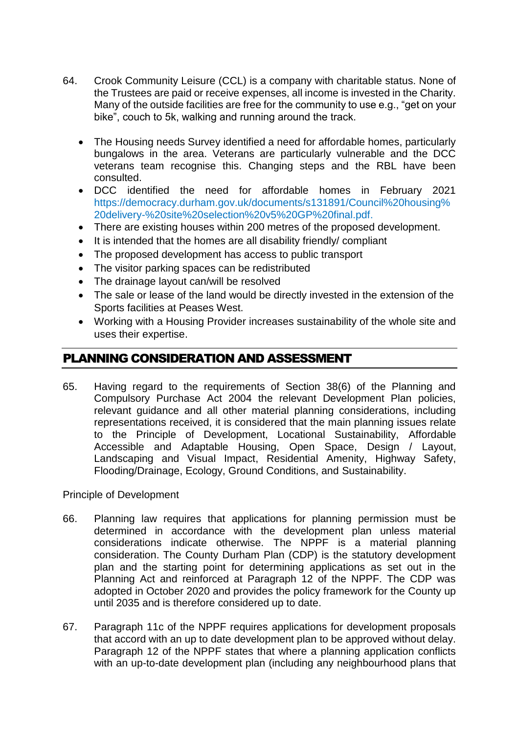- 64. Crook Community Leisure (CCL) is a company with charitable status. None of the Trustees are paid or receive expenses, all income is invested in the Charity. Many of the outside facilities are free for the community to use e.g., "get on your bike", couch to 5k, walking and running around the track.
	- The Housing needs Survey identified a need for affordable homes, particularly bungalows in the area. Veterans are particularly vulnerable and the DCC veterans team recognise this. Changing steps and the RBL have been consulted.
	- DCC identified the need for affordable homes in February 2021 https://democracy.durham.gov.uk/documents/s131891/Council%20housing% 20delivery-%20site%20selection%20v5%20GP%20final.pdf.
	- There are existing houses within 200 metres of the proposed development.
	- It is intended that the homes are all disability friendly/ compliant
	- The proposed development has access to public transport
	- The visitor parking spaces can be redistributed
	- The drainage layout can/will be resolved
	- The sale or lease of the land would be directly invested in the extension of the Sports facilities at Peases West.
	- Working with a Housing Provider increases sustainability of the whole site and uses their expertise.

## PLANNING CONSIDERATION AND ASSESSMENT

65. Having regard to the requirements of Section 38(6) of the Planning and Compulsory Purchase Act 2004 the relevant Development Plan policies, relevant guidance and all other material planning considerations, including representations received, it is considered that the main planning issues relate to the Principle of Development, Locational Sustainability, Affordable Accessible and Adaptable Housing, Open Space, Design / Layout, Landscaping and Visual Impact, Residential Amenity, Highway Safety, Flooding/Drainage, Ecology, Ground Conditions, and Sustainability.

Principle of Development

- 66. Planning law requires that applications for planning permission must be determined in accordance with the development plan unless material considerations indicate otherwise. The NPPF is a material planning consideration. The County Durham Plan (CDP) is the statutory development plan and the starting point for determining applications as set out in the Planning Act and reinforced at Paragraph 12 of the NPPF. The CDP was adopted in October 2020 and provides the policy framework for the County up until 2035 and is therefore considered up to date.
- 67. Paragraph 11c of the NPPF requires applications for development proposals that accord with an up to date development plan to be approved without delay. Paragraph 12 of the NPPF states that where a planning application conflicts with an up-to-date development plan (including any neighbourhood plans that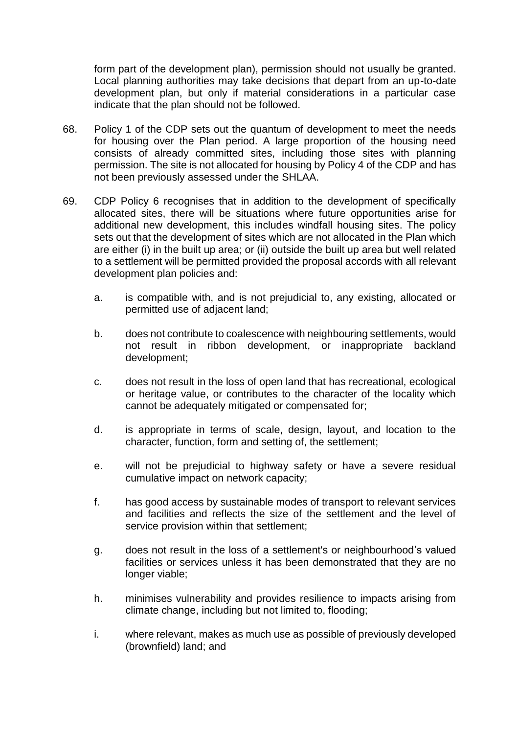form part of the development plan), permission should not usually be granted. Local planning authorities may take decisions that depart from an up-to-date development plan, but only if material considerations in a particular case indicate that the plan should not be followed.

- 68. Policy 1 of the CDP sets out the quantum of development to meet the needs for housing over the Plan period. A large proportion of the housing need consists of already committed sites, including those sites with planning permission. The site is not allocated for housing by Policy 4 of the CDP and has not been previously assessed under the SHLAA.
- 69. CDP Policy 6 recognises that in addition to the development of specifically allocated sites, there will be situations where future opportunities arise for additional new development, this includes windfall housing sites. The policy sets out that the development of sites which are not allocated in the Plan which are either (i) in the built up area; or (ii) outside the built up area but well related to a settlement will be permitted provided the proposal accords with all relevant development plan policies and:
	- a. is compatible with, and is not prejudicial to, any existing, allocated or permitted use of adjacent land;
	- b. does not contribute to coalescence with neighbouring settlements, would not result in ribbon development, or inappropriate backland development;
	- c. does not result in the loss of open land that has recreational, ecological or heritage value, or contributes to the character of the locality which cannot be adequately mitigated or compensated for;
	- d. is appropriate in terms of scale, design, layout, and location to the character, function, form and setting of, the settlement;
	- e. will not be prejudicial to highway safety or have a severe residual cumulative impact on network capacity;
	- f. has good access by sustainable modes of transport to relevant services and facilities and reflects the size of the settlement and the level of service provision within that settlement;
	- g. does not result in the loss of a settlement's or neighbourhood's valued facilities or services unless it has been demonstrated that they are no longer viable;
	- h. minimises vulnerability and provides resilience to impacts arising from climate change, including but not limited to, flooding;
	- i. where relevant, makes as much use as possible of previously developed (brownfield) land; and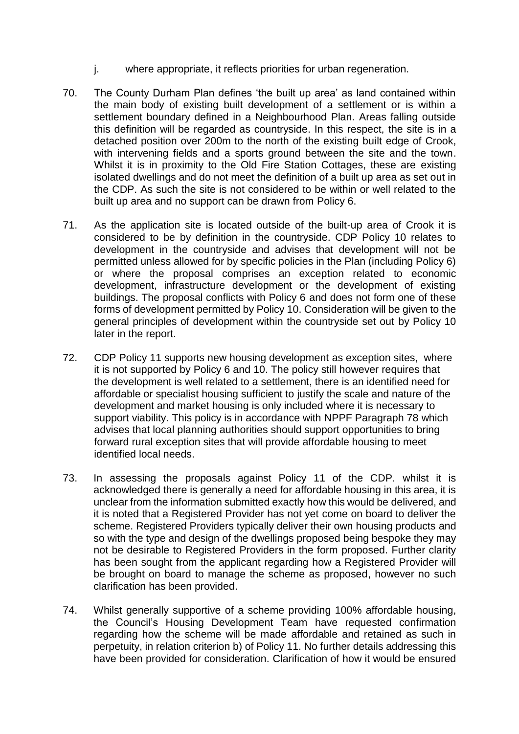- j. where appropriate, it reflects priorities for urban regeneration.
- 70. The County Durham Plan defines 'the built up area' as land contained within the main body of existing built development of a settlement or is within a settlement boundary defined in a Neighbourhood Plan. Areas falling outside this definition will be regarded as countryside. In this respect, the site is in a detached position over 200m to the north of the existing built edge of Crook, with intervening fields and a sports ground between the site and the town. Whilst it is in proximity to the Old Fire Station Cottages, these are existing isolated dwellings and do not meet the definition of a built up area as set out in the CDP. As such the site is not considered to be within or well related to the built up area and no support can be drawn from Policy 6.
- 71. As the application site is located outside of the built-up area of Crook it is considered to be by definition in the countryside. CDP Policy 10 relates to development in the countryside and advises that development will not be permitted unless allowed for by specific policies in the Plan (including Policy 6) or where the proposal comprises an exception related to economic development, infrastructure development or the development of existing buildings. The proposal conflicts with Policy 6 and does not form one of these forms of development permitted by Policy 10. Consideration will be given to the general principles of development within the countryside set out by Policy 10 later in the report.
- 72. CDP Policy 11 supports new housing development as exception sites, where it is not supported by Policy 6 and 10. The policy still however requires that the development is well related to a settlement, there is an identified need for affordable or specialist housing sufficient to justify the scale and nature of the development and market housing is only included where it is necessary to support viability. This policy is in accordance with NPPF Paragraph 78 which advises that local planning authorities should support opportunities to bring forward rural exception sites that will provide affordable housing to meet identified local needs.
- 73. In assessing the proposals against Policy 11 of the CDP. whilst it is acknowledged there is generally a need for affordable housing in this area, it is unclear from the information submitted exactly how this would be delivered, and it is noted that a Registered Provider has not yet come on board to deliver the scheme. Registered Providers typically deliver their own housing products and so with the type and design of the dwellings proposed being bespoke they may not be desirable to Registered Providers in the form proposed. Further clarity has been sought from the applicant regarding how a Registered Provider will be brought on board to manage the scheme as proposed, however no such clarification has been provided.
- 74. Whilst generally supportive of a scheme providing 100% affordable housing, the Council's Housing Development Team have requested confirmation regarding how the scheme will be made affordable and retained as such in perpetuity, in relation criterion b) of Policy 11. No further details addressing this have been provided for consideration. Clarification of how it would be ensured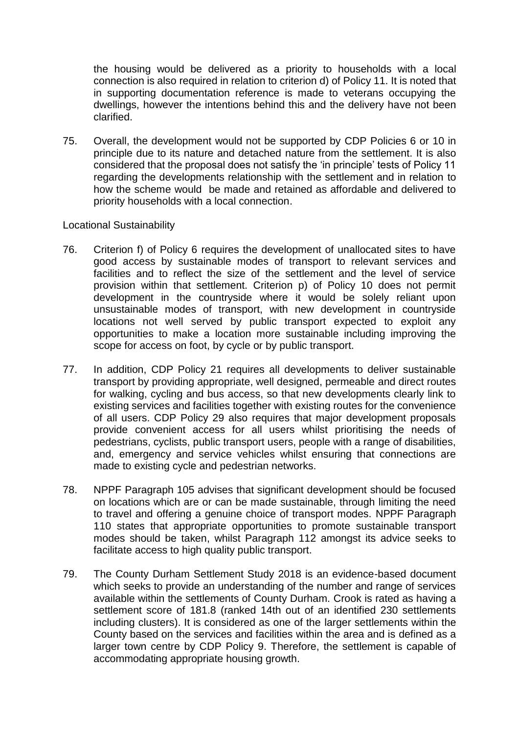the housing would be delivered as a priority to households with a local connection is also required in relation to criterion d) of Policy 11. It is noted that in supporting documentation reference is made to veterans occupying the dwellings, however the intentions behind this and the delivery have not been clarified.

75. Overall, the development would not be supported by CDP Policies 6 or 10 in principle due to its nature and detached nature from the settlement. It is also considered that the proposal does not satisfy the 'in principle' tests of Policy 11 regarding the developments relationship with the settlement and in relation to how the scheme would be made and retained as affordable and delivered to priority households with a local connection.

#### Locational Sustainability

- 76. Criterion f) of Policy 6 requires the development of unallocated sites to have good access by sustainable modes of transport to relevant services and facilities and to reflect the size of the settlement and the level of service provision within that settlement. Criterion p) of Policy 10 does not permit development in the countryside where it would be solely reliant upon unsustainable modes of transport, with new development in countryside locations not well served by public transport expected to exploit any opportunities to make a location more sustainable including improving the scope for access on foot, by cycle or by public transport.
- 77. In addition, CDP Policy 21 requires all developments to deliver sustainable transport by providing appropriate, well designed, permeable and direct routes for walking, cycling and bus access, so that new developments clearly link to existing services and facilities together with existing routes for the convenience of all users. CDP Policy 29 also requires that major development proposals provide convenient access for all users whilst prioritising the needs of pedestrians, cyclists, public transport users, people with a range of disabilities, and, emergency and service vehicles whilst ensuring that connections are made to existing cycle and pedestrian networks.
- 78. NPPF Paragraph 105 advises that significant development should be focused on locations which are or can be made sustainable, through limiting the need to travel and offering a genuine choice of transport modes. NPPF Paragraph 110 states that appropriate opportunities to promote sustainable transport modes should be taken, whilst Paragraph 112 amongst its advice seeks to facilitate access to high quality public transport.
- 79. The County Durham Settlement Study 2018 is an evidence-based document which seeks to provide an understanding of the number and range of services available within the settlements of County Durham. Crook is rated as having a settlement score of 181.8 (ranked 14th out of an identified 230 settlements including clusters). It is considered as one of the larger settlements within the County based on the services and facilities within the area and is defined as a larger town centre by CDP Policy 9. Therefore, the settlement is capable of accommodating appropriate housing growth.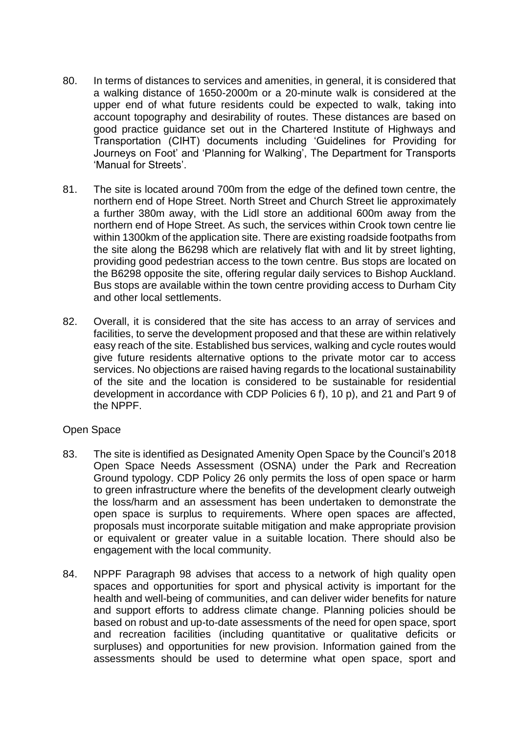- 80. In terms of distances to services and amenities, in general, it is considered that a walking distance of 1650-2000m or a 20-minute walk is considered at the upper end of what future residents could be expected to walk, taking into account topography and desirability of routes. These distances are based on good practice guidance set out in the Chartered Institute of Highways and Transportation (CIHT) documents including 'Guidelines for Providing for Journeys on Foot' and 'Planning for Walking', The Department for Transports 'Manual for Streets'.
- 81. The site is located around 700m from the edge of the defined town centre, the northern end of Hope Street. North Street and Church Street lie approximately a further 380m away, with the Lidl store an additional 600m away from the northern end of Hope Street. As such, the services within Crook town centre lie within 1300km of the application site. There are existing roadside footpaths from the site along the B6298 which are relatively flat with and lit by street lighting, providing good pedestrian access to the town centre. Bus stops are located on the B6298 opposite the site, offering regular daily services to Bishop Auckland. Bus stops are available within the town centre providing access to Durham City and other local settlements.
- 82. Overall, it is considered that the site has access to an array of services and facilities, to serve the development proposed and that these are within relatively easy reach of the site. Established bus services, walking and cycle routes would give future residents alternative options to the private motor car to access services. No objections are raised having regards to the locational sustainability of the site and the location is considered to be sustainable for residential development in accordance with CDP Policies 6 f), 10 p), and 21 and Part 9 of the NPPF.

#### Open Space

- 83. The site is identified as Designated Amenity Open Space by the Council's 2018 Open Space Needs Assessment (OSNA) under the Park and Recreation Ground typology. CDP Policy 26 only permits the loss of open space or harm to green infrastructure where the benefits of the development clearly outweigh the loss/harm and an assessment has been undertaken to demonstrate the open space is surplus to requirements. Where open spaces are affected, proposals must incorporate suitable mitigation and make appropriate provision or equivalent or greater value in a suitable location. There should also be engagement with the local community.
- 84. NPPF Paragraph 98 advises that access to a network of high quality open spaces and opportunities for sport and physical activity is important for the health and well-being of communities, and can deliver wider benefits for nature and support efforts to address climate change. Planning policies should be based on robust and up-to-date assessments of the need for open space, sport and recreation facilities (including quantitative or qualitative deficits or surpluses) and opportunities for new provision. Information gained from the assessments should be used to determine what open space, sport and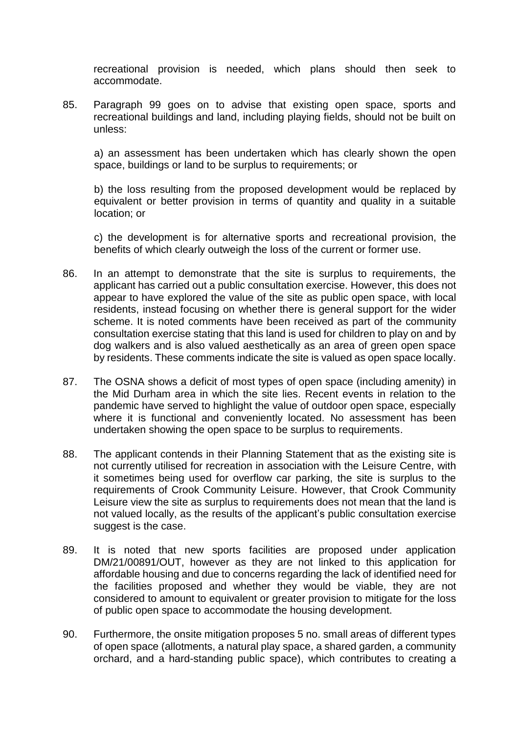recreational provision is needed, which plans should then seek to accommodate.

85. Paragraph 99 goes on to advise that existing open space, sports and recreational buildings and land, including playing fields, should not be built on unless:

a) an assessment has been undertaken which has clearly shown the open space, buildings or land to be surplus to requirements; or

b) the loss resulting from the proposed development would be replaced by equivalent or better provision in terms of quantity and quality in a suitable location; or

c) the development is for alternative sports and recreational provision, the benefits of which clearly outweigh the loss of the current or former use.

- 86. In an attempt to demonstrate that the site is surplus to requirements, the applicant has carried out a public consultation exercise. However, this does not appear to have explored the value of the site as public open space, with local residents, instead focusing on whether there is general support for the wider scheme. It is noted comments have been received as part of the community consultation exercise stating that this land is used for children to play on and by dog walkers and is also valued aesthetically as an area of green open space by residents. These comments indicate the site is valued as open space locally.
- 87. The OSNA shows a deficit of most types of open space (including amenity) in the Mid Durham area in which the site lies. Recent events in relation to the pandemic have served to highlight the value of outdoor open space, especially where it is functional and conveniently located. No assessment has been undertaken showing the open space to be surplus to requirements.
- 88. The applicant contends in their Planning Statement that as the existing site is not currently utilised for recreation in association with the Leisure Centre, with it sometimes being used for overflow car parking, the site is surplus to the requirements of Crook Community Leisure. However, that Crook Community Leisure view the site as surplus to requirements does not mean that the land is not valued locally, as the results of the applicant's public consultation exercise suggest is the case.
- 89. It is noted that new sports facilities are proposed under application DM/21/00891/OUT, however as they are not linked to this application for affordable housing and due to concerns regarding the lack of identified need for the facilities proposed and whether they would be viable, they are not considered to amount to equivalent or greater provision to mitigate for the loss of public open space to accommodate the housing development.
- 90. Furthermore, the onsite mitigation proposes 5 no. small areas of different types of open space (allotments, a natural play space, a shared garden, a community orchard, and a hard-standing public space), which contributes to creating a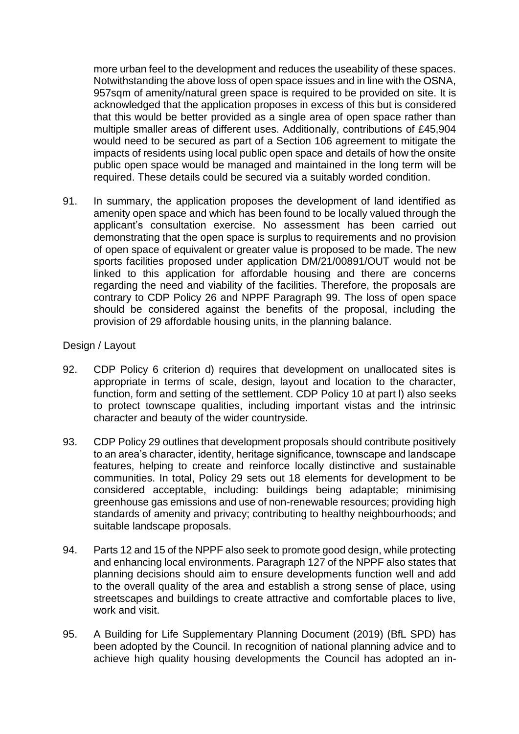more urban feel to the development and reduces the useability of these spaces. Notwithstanding the above loss of open space issues and in line with the OSNA, 957sqm of amenity/natural green space is required to be provided on site. It is acknowledged that the application proposes in excess of this but is considered that this would be better provided as a single area of open space rather than multiple smaller areas of different uses. Additionally, contributions of £45,904 would need to be secured as part of a Section 106 agreement to mitigate the impacts of residents using local public open space and details of how the onsite public open space would be managed and maintained in the long term will be required. These details could be secured via a suitably worded condition.

91. In summary, the application proposes the development of land identified as amenity open space and which has been found to be locally valued through the applicant's consultation exercise. No assessment has been carried out demonstrating that the open space is surplus to requirements and no provision of open space of equivalent or greater value is proposed to be made. The new sports facilities proposed under application DM/21/00891/OUT would not be linked to this application for affordable housing and there are concerns regarding the need and viability of the facilities. Therefore, the proposals are contrary to CDP Policy 26 and NPPF Paragraph 99. The loss of open space should be considered against the benefits of the proposal, including the provision of 29 affordable housing units, in the planning balance.

#### Design / Layout

- 92. CDP Policy 6 criterion d) requires that development on unallocated sites is appropriate in terms of scale, design, layout and location to the character, function, form and setting of the settlement. CDP Policy 10 at part l) also seeks to protect townscape qualities, including important vistas and the intrinsic character and beauty of the wider countryside.
- 93. CDP Policy 29 outlines that development proposals should contribute positively to an area's character, identity, heritage significance, townscape and landscape features, helping to create and reinforce locally distinctive and sustainable communities. In total, Policy 29 sets out 18 elements for development to be considered acceptable, including: buildings being adaptable; minimising greenhouse gas emissions and use of non-renewable resources; providing high standards of amenity and privacy; contributing to healthy neighbourhoods; and suitable landscape proposals.
- 94. Parts 12 and 15 of the NPPF also seek to promote good design, while protecting and enhancing local environments. Paragraph 127 of the NPPF also states that planning decisions should aim to ensure developments function well and add to the overall quality of the area and establish a strong sense of place, using streetscapes and buildings to create attractive and comfortable places to live, work and visit.
- 95. A Building for Life Supplementary Planning Document (2019) (BfL SPD) has been adopted by the Council. In recognition of national planning advice and to achieve high quality housing developments the Council has adopted an in-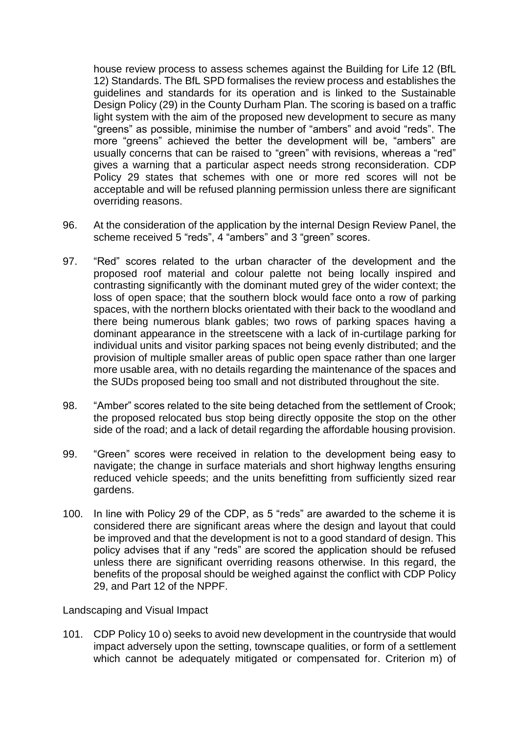house review process to assess schemes against the Building for Life 12 (BfL 12) Standards. The BfL SPD formalises the review process and establishes the guidelines and standards for its operation and is linked to the Sustainable Design Policy (29) in the County Durham Plan. The scoring is based on a traffic light system with the aim of the proposed new development to secure as many "greens" as possible, minimise the number of "ambers" and avoid "reds". The more "greens" achieved the better the development will be, "ambers" are usually concerns that can be raised to "green" with revisions, whereas a "red" gives a warning that a particular aspect needs strong reconsideration. CDP Policy 29 states that schemes with one or more red scores will not be acceptable and will be refused planning permission unless there are significant overriding reasons.

- 96. At the consideration of the application by the internal Design Review Panel, the scheme received 5 "reds", 4 "ambers" and 3 "green" scores.
- 97. "Red" scores related to the urban character of the development and the proposed roof material and colour palette not being locally inspired and contrasting significantly with the dominant muted grey of the wider context; the loss of open space; that the southern block would face onto a row of parking spaces, with the northern blocks orientated with their back to the woodland and there being numerous blank gables; two rows of parking spaces having a dominant appearance in the streetscene with a lack of in-curtilage parking for individual units and visitor parking spaces not being evenly distributed; and the provision of multiple smaller areas of public open space rather than one larger more usable area, with no details regarding the maintenance of the spaces and the SUDs proposed being too small and not distributed throughout the site.
- 98. "Amber" scores related to the site being detached from the settlement of Crook; the proposed relocated bus stop being directly opposite the stop on the other side of the road; and a lack of detail regarding the affordable housing provision.
- 99. "Green" scores were received in relation to the development being easy to navigate; the change in surface materials and short highway lengths ensuring reduced vehicle speeds; and the units benefitting from sufficiently sized rear gardens.
- 100. In line with Policy 29 of the CDP, as 5 "reds" are awarded to the scheme it is considered there are significant areas where the design and layout that could be improved and that the development is not to a good standard of design. This policy advises that if any "reds" are scored the application should be refused unless there are significant overriding reasons otherwise. In this regard, the benefits of the proposal should be weighed against the conflict with CDP Policy 29, and Part 12 of the NPPF.

Landscaping and Visual Impact

101. CDP Policy 10 o) seeks to avoid new development in the countryside that would impact adversely upon the setting, townscape qualities, or form of a settlement which cannot be adequately mitigated or compensated for. Criterion m) of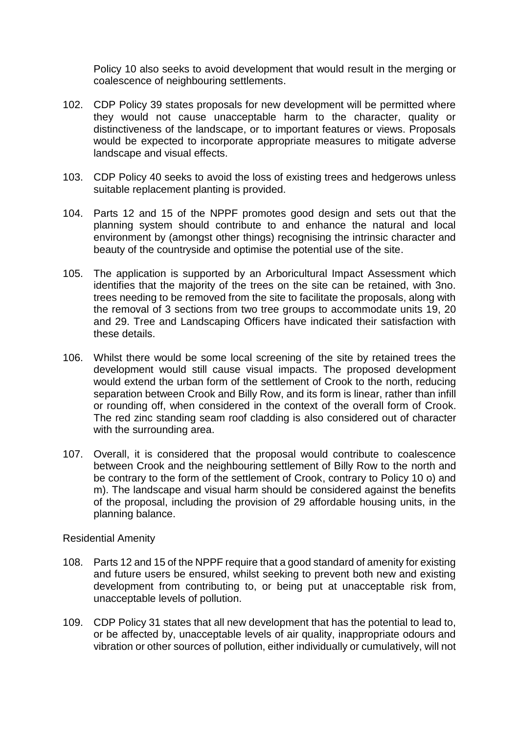Policy 10 also seeks to avoid development that would result in the merging or coalescence of neighbouring settlements.

- 102. CDP Policy 39 states proposals for new development will be permitted where they would not cause unacceptable harm to the character, quality or distinctiveness of the landscape, or to important features or views. Proposals would be expected to incorporate appropriate measures to mitigate adverse landscape and visual effects.
- 103. CDP Policy 40 seeks to avoid the loss of existing trees and hedgerows unless suitable replacement planting is provided.
- 104. Parts 12 and 15 of the NPPF promotes good design and sets out that the planning system should contribute to and enhance the natural and local environment by (amongst other things) recognising the intrinsic character and beauty of the countryside and optimise the potential use of the site.
- 105. The application is supported by an Arboricultural Impact Assessment which identifies that the majority of the trees on the site can be retained, with 3no. trees needing to be removed from the site to facilitate the proposals, along with the removal of 3 sections from two tree groups to accommodate units 19, 20 and 29. Tree and Landscaping Officers have indicated their satisfaction with these details.
- 106. Whilst there would be some local screening of the site by retained trees the development would still cause visual impacts. The proposed development would extend the urban form of the settlement of Crook to the north, reducing separation between Crook and Billy Row, and its form is linear, rather than infill or rounding off, when considered in the context of the overall form of Crook. The red zinc standing seam roof cladding is also considered out of character with the surrounding area.
- 107. Overall, it is considered that the proposal would contribute to coalescence between Crook and the neighbouring settlement of Billy Row to the north and be contrary to the form of the settlement of Crook, contrary to Policy 10 o) and m). The landscape and visual harm should be considered against the benefits of the proposal, including the provision of 29 affordable housing units, in the planning balance.

#### Residential Amenity

- 108. Parts 12 and 15 of the NPPF require that a good standard of amenity for existing and future users be ensured, whilst seeking to prevent both new and existing development from contributing to, or being put at unacceptable risk from, unacceptable levels of pollution.
- 109. CDP Policy 31 states that all new development that has the potential to lead to, or be affected by, unacceptable levels of air quality, inappropriate odours and vibration or other sources of pollution, either individually or cumulatively, will not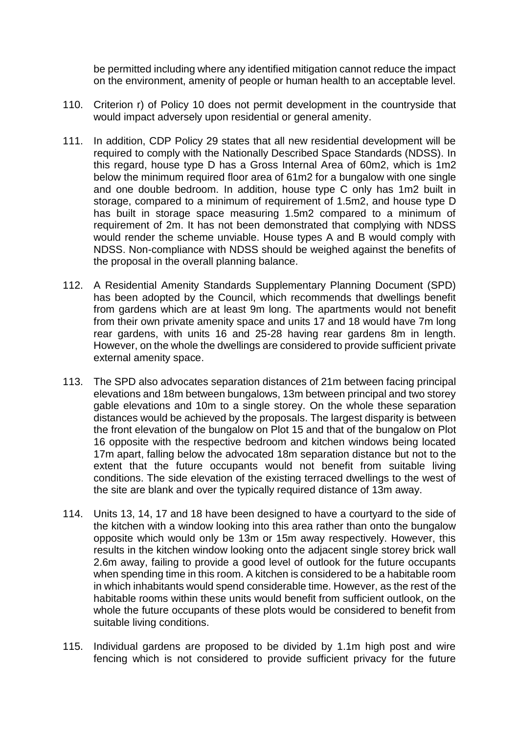be permitted including where any identified mitigation cannot reduce the impact on the environment, amenity of people or human health to an acceptable level.

- 110. Criterion r) of Policy 10 does not permit development in the countryside that would impact adversely upon residential or general amenity.
- 111. In addition, CDP Policy 29 states that all new residential development will be required to comply with the Nationally Described Space Standards (NDSS). In this regard, house type D has a Gross Internal Area of 60m2, which is 1m2 below the minimum required floor area of 61m2 for a bungalow with one single and one double bedroom. In addition, house type C only has 1m2 built in storage, compared to a minimum of requirement of 1.5m2, and house type D has built in storage space measuring 1.5m2 compared to a minimum of requirement of 2m. It has not been demonstrated that complying with NDSS would render the scheme unviable. House types A and B would comply with NDSS. Non-compliance with NDSS should be weighed against the benefits of the proposal in the overall planning balance.
- 112. A Residential Amenity Standards Supplementary Planning Document (SPD) has been adopted by the Council, which recommends that dwellings benefit from gardens which are at least 9m long. The apartments would not benefit from their own private amenity space and units 17 and 18 would have 7m long rear gardens, with units 16 and 25-28 having rear gardens 8m in length. However, on the whole the dwellings are considered to provide sufficient private external amenity space.
- 113. The SPD also advocates separation distances of 21m between facing principal elevations and 18m between bungalows, 13m between principal and two storey gable elevations and 10m to a single storey. On the whole these separation distances would be achieved by the proposals. The largest disparity is between the front elevation of the bungalow on Plot 15 and that of the bungalow on Plot 16 opposite with the respective bedroom and kitchen windows being located 17m apart, falling below the advocated 18m separation distance but not to the extent that the future occupants would not benefit from suitable living conditions. The side elevation of the existing terraced dwellings to the west of the site are blank and over the typically required distance of 13m away.
- 114. Units 13, 14, 17 and 18 have been designed to have a courtyard to the side of the kitchen with a window looking into this area rather than onto the bungalow opposite which would only be 13m or 15m away respectively. However, this results in the kitchen window looking onto the adjacent single storey brick wall 2.6m away, failing to provide a good level of outlook for the future occupants when spending time in this room. A kitchen is considered to be a habitable room in which inhabitants would spend considerable time. However, as the rest of the habitable rooms within these units would benefit from sufficient outlook, on the whole the future occupants of these plots would be considered to benefit from suitable living conditions.
- 115. Individual gardens are proposed to be divided by 1.1m high post and wire fencing which is not considered to provide sufficient privacy for the future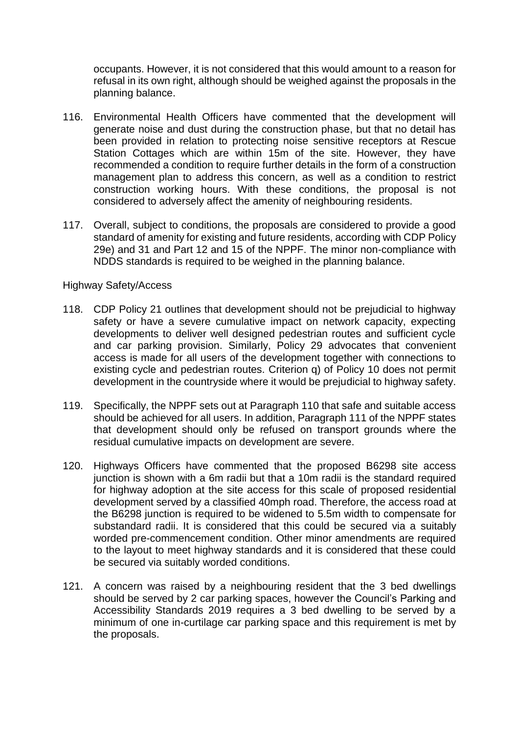occupants. However, it is not considered that this would amount to a reason for refusal in its own right, although should be weighed against the proposals in the planning balance.

- 116. Environmental Health Officers have commented that the development will generate noise and dust during the construction phase, but that no detail has been provided in relation to protecting noise sensitive receptors at Rescue Station Cottages which are within 15m of the site. However, they have recommended a condition to require further details in the form of a construction management plan to address this concern, as well as a condition to restrict construction working hours. With these conditions, the proposal is not considered to adversely affect the amenity of neighbouring residents.
- 117. Overall, subject to conditions, the proposals are considered to provide a good standard of amenity for existing and future residents, according with CDP Policy 29e) and 31 and Part 12 and 15 of the NPPF. The minor non-compliance with NDDS standards is required to be weighed in the planning balance.

#### Highway Safety/Access

- 118. CDP Policy 21 outlines that development should not be prejudicial to highway safety or have a severe cumulative impact on network capacity, expecting developments to deliver well designed pedestrian routes and sufficient cycle and car parking provision. Similarly, Policy 29 advocates that convenient access is made for all users of the development together with connections to existing cycle and pedestrian routes. Criterion q) of Policy 10 does not permit development in the countryside where it would be prejudicial to highway safety.
- 119. Specifically, the NPPF sets out at Paragraph 110 that safe and suitable access should be achieved for all users. In addition, Paragraph 111 of the NPPF states that development should only be refused on transport grounds where the residual cumulative impacts on development are severe.
- 120. Highways Officers have commented that the proposed B6298 site access junction is shown with a 6m radii but that a 10m radii is the standard required for highway adoption at the site access for this scale of proposed residential development served by a classified 40mph road. Therefore, the access road at the B6298 junction is required to be widened to 5.5m width to compensate for substandard radii. It is considered that this could be secured via a suitably worded pre-commencement condition. Other minor amendments are required to the layout to meet highway standards and it is considered that these could be secured via suitably worded conditions.
- 121. A concern was raised by a neighbouring resident that the 3 bed dwellings should be served by 2 car parking spaces, however the Council's Parking and Accessibility Standards 2019 requires a 3 bed dwelling to be served by a minimum of one in-curtilage car parking space and this requirement is met by the proposals.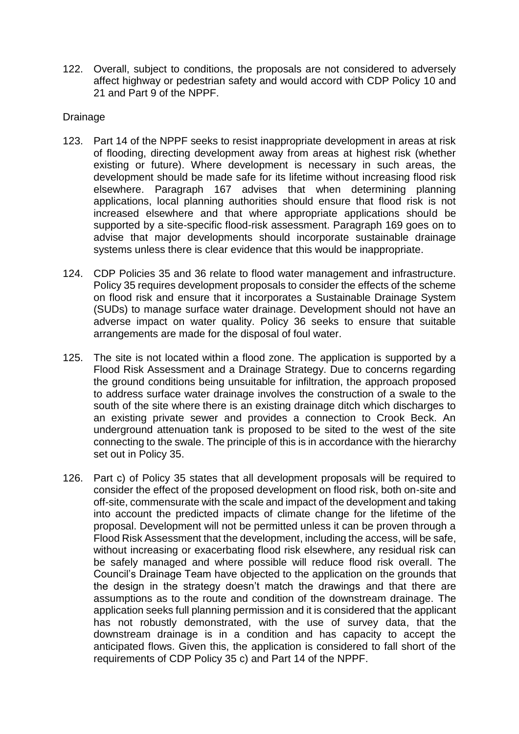122. Overall, subject to conditions, the proposals are not considered to adversely affect highway or pedestrian safety and would accord with CDP Policy 10 and 21 and Part 9 of the NPPF.

#### Drainage

- 123. Part 14 of the NPPF seeks to resist inappropriate development in areas at risk of flooding, directing development away from areas at highest risk (whether existing or future). Where development is necessary in such areas, the development should be made safe for its lifetime without increasing flood risk elsewhere. Paragraph 167 advises that when determining planning applications, local planning authorities should ensure that flood risk is not increased elsewhere and that where appropriate applications should be supported by a site-specific flood-risk assessment. Paragraph 169 goes on to advise that major developments should incorporate sustainable drainage systems unless there is clear evidence that this would be inappropriate.
- 124. CDP Policies 35 and 36 relate to flood water management and infrastructure. Policy 35 requires development proposals to consider the effects of the scheme on flood risk and ensure that it incorporates a Sustainable Drainage System (SUDs) to manage surface water drainage. Development should not have an adverse impact on water quality. Policy 36 seeks to ensure that suitable arrangements are made for the disposal of foul water.
- 125. The site is not located within a flood zone. The application is supported by a Flood Risk Assessment and a Drainage Strategy. Due to concerns regarding the ground conditions being unsuitable for infiltration, the approach proposed to address surface water drainage involves the construction of a swale to the south of the site where there is an existing drainage ditch which discharges to an existing private sewer and provides a connection to Crook Beck. An underground attenuation tank is proposed to be sited to the west of the site connecting to the swale. The principle of this is in accordance with the hierarchy set out in Policy 35.
- 126. Part c) of Policy 35 states that all development proposals will be required to consider the effect of the proposed development on flood risk, both on-site and off-site, commensurate with the scale and impact of the development and taking into account the predicted impacts of climate change for the lifetime of the proposal. Development will not be permitted unless it can be proven through a Flood Risk Assessment that the development, including the access, will be safe, without increasing or exacerbating flood risk elsewhere, any residual risk can be safely managed and where possible will reduce flood risk overall. The Council's Drainage Team have objected to the application on the grounds that the design in the strategy doesn't match the drawings and that there are assumptions as to the route and condition of the downstream drainage. The application seeks full planning permission and it is considered that the applicant has not robustly demonstrated, with the use of survey data, that the downstream drainage is in a condition and has capacity to accept the anticipated flows. Given this, the application is considered to fall short of the requirements of CDP Policy 35 c) and Part 14 of the NPPF.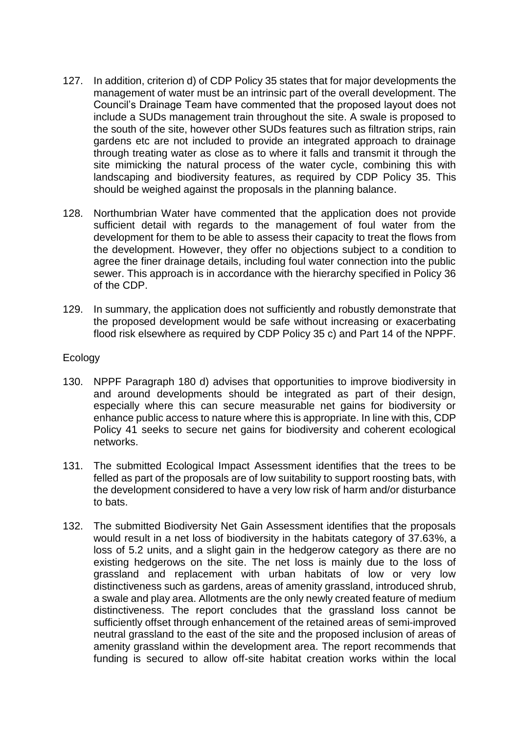- 127. In addition, criterion d) of CDP Policy 35 states that for major developments the management of water must be an intrinsic part of the overall development. The Council's Drainage Team have commented that the proposed layout does not include a SUDs management train throughout the site. A swale is proposed to the south of the site, however other SUDs features such as filtration strips, rain gardens etc are not included to provide an integrated approach to drainage through treating water as close as to where it falls and transmit it through the site mimicking the natural process of the water cycle, combining this with landscaping and biodiversity features, as required by CDP Policy 35. This should be weighed against the proposals in the planning balance.
- 128. Northumbrian Water have commented that the application does not provide sufficient detail with regards to the management of foul water from the development for them to be able to assess their capacity to treat the flows from the development. However, they offer no objections subject to a condition to agree the finer drainage details, including foul water connection into the public sewer. This approach is in accordance with the hierarchy specified in Policy 36 of the CDP.
- 129. In summary, the application does not sufficiently and robustly demonstrate that the proposed development would be safe without increasing or exacerbating flood risk elsewhere as required by CDP Policy 35 c) and Part 14 of the NPPF.

#### **Ecology**

- 130. NPPF Paragraph 180 d) advises that opportunities to improve biodiversity in and around developments should be integrated as part of their design, especially where this can secure measurable net gains for biodiversity or enhance public access to nature where this is appropriate. In line with this, CDP Policy 41 seeks to secure net gains for biodiversity and coherent ecological networks.
- 131. The submitted Ecological Impact Assessment identifies that the trees to be felled as part of the proposals are of low suitability to support roosting bats, with the development considered to have a very low risk of harm and/or disturbance to bats.
- 132. The submitted Biodiversity Net Gain Assessment identifies that the proposals would result in a net loss of biodiversity in the habitats category of 37.63%, a loss of 5.2 units, and a slight gain in the hedgerow category as there are no existing hedgerows on the site. The net loss is mainly due to the loss of grassland and replacement with urban habitats of low or very low distinctiveness such as gardens, areas of amenity grassland, introduced shrub, a swale and play area. Allotments are the only newly created feature of medium distinctiveness. The report concludes that the grassland loss cannot be sufficiently offset through enhancement of the retained areas of semi-improved neutral grassland to the east of the site and the proposed inclusion of areas of amenity grassland within the development area. The report recommends that funding is secured to allow off-site habitat creation works within the local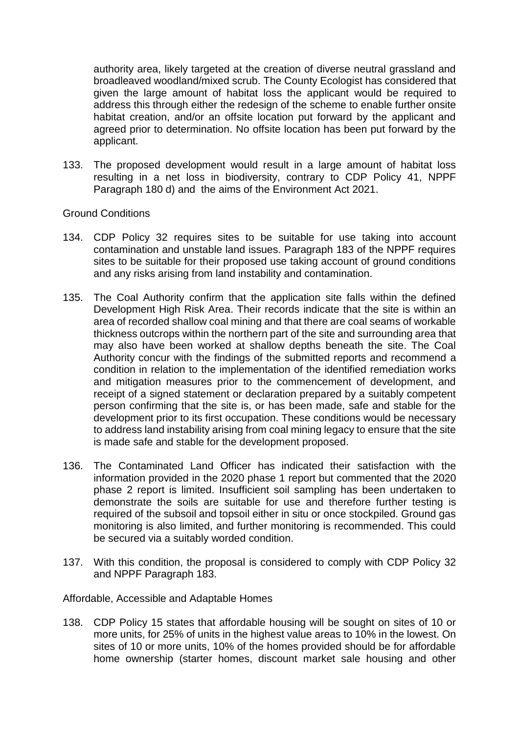authority area, likely targeted at the creation of diverse neutral grassland and broadleaved woodland/mixed scrub. The County Ecologist has considered that given the large amount of habitat loss the applicant would be required to address this through either the redesign of the scheme to enable further onsite habitat creation, and/or an offsite location put forward by the applicant and agreed prior to determination. No offsite location has been put forward by the applicant.

133. The proposed development would result in a large amount of habitat loss resulting in a net loss in biodiversity, contrary to CDP Policy 41, NPPF Paragraph 180 d) and the aims of the Environment Act 2021.

#### Ground Conditions

- 134. CDP Policy 32 requires sites to be suitable for use taking into account contamination and unstable land issues. Paragraph 183 of the NPPF requires sites to be suitable for their proposed use taking account of ground conditions and any risks arising from land instability and contamination.
- 135. The Coal Authority confirm that the application site falls within the defined Development High Risk Area. Their records indicate that the site is within an area of recorded shallow coal mining and that there are coal seams of workable thickness outcrops within the northern part of the site and surrounding area that may also have been worked at shallow depths beneath the site. The Coal Authority concur with the findings of the submitted reports and recommend a condition in relation to the implementation of the identified remediation works and mitigation measures prior to the commencement of development, and receipt of a signed statement or declaration prepared by a suitably competent person confirming that the site is, or has been made, safe and stable for the development prior to its first occupation. These conditions would be necessary to address land instability arising from coal mining legacy to ensure that the site is made safe and stable for the development proposed.
- 136. The Contaminated Land Officer has indicated their satisfaction with the information provided in the 2020 phase 1 report but commented that the 2020 phase 2 report is limited. Insufficient soil sampling has been undertaken to demonstrate the soils are suitable for use and therefore further testing is required of the subsoil and topsoil either in situ or once stockpiled. Ground gas monitoring is also limited, and further monitoring is recommended. This could be secured via a suitably worded condition.
- 137. With this condition, the proposal is considered to comply with CDP Policy 32 and NPPF Paragraph 183.

#### Affordable, Accessible and Adaptable Homes

138. CDP Policy 15 states that affordable housing will be sought on sites of 10 or more units, for 25% of units in the highest value areas to 10% in the lowest. On sites of 10 or more units, 10% of the homes provided should be for affordable home ownership (starter homes, discount market sale housing and other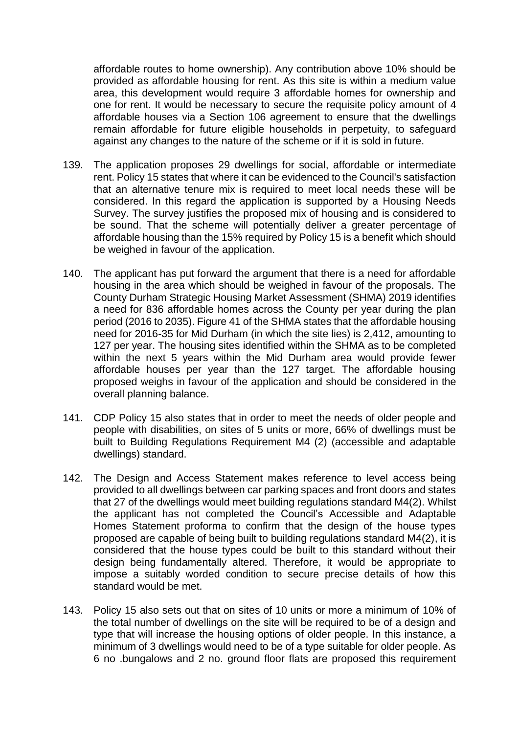affordable routes to home ownership). Any contribution above 10% should be provided as affordable housing for rent. As this site is within a medium value area, this development would require 3 affordable homes for ownership and one for rent. It would be necessary to secure the requisite policy amount of 4 affordable houses via a Section 106 agreement to ensure that the dwellings remain affordable for future eligible households in perpetuity, to safeguard against any changes to the nature of the scheme or if it is sold in future.

- 139. The application proposes 29 dwellings for social, affordable or intermediate rent. Policy 15 states that where it can be evidenced to the Council's satisfaction that an alternative tenure mix is required to meet local needs these will be considered. In this regard the application is supported by a Housing Needs Survey. The survey justifies the proposed mix of housing and is considered to be sound. That the scheme will potentially deliver a greater percentage of affordable housing than the 15% required by Policy 15 is a benefit which should be weighed in favour of the application.
- 140. The applicant has put forward the argument that there is a need for affordable housing in the area which should be weighed in favour of the proposals. The County Durham Strategic Housing Market Assessment (SHMA) 2019 identifies a need for 836 affordable homes across the County per year during the plan period (2016 to 2035). Figure 41 of the SHMA states that the affordable housing need for 2016-35 for Mid Durham (in which the site lies) is 2,412, amounting to 127 per year. The housing sites identified within the SHMA as to be completed within the next 5 years within the Mid Durham area would provide fewer affordable houses per year than the 127 target. The affordable housing proposed weighs in favour of the application and should be considered in the overall planning balance.
- 141. CDP Policy 15 also states that in order to meet the needs of older people and people with disabilities, on sites of 5 units or more, 66% of dwellings must be built to Building Regulations Requirement M4 (2) (accessible and adaptable dwellings) standard.
- 142. The Design and Access Statement makes reference to level access being provided to all dwellings between car parking spaces and front doors and states that 27 of the dwellings would meet building regulations standard M4(2). Whilst the applicant has not completed the Council's Accessible and Adaptable Homes Statement proforma to confirm that the design of the house types proposed are capable of being built to building regulations standard M4(2), it is considered that the house types could be built to this standard without their design being fundamentally altered. Therefore, it would be appropriate to impose a suitably worded condition to secure precise details of how this standard would be met.
- 143. Policy 15 also sets out that on sites of 10 units or more a minimum of 10% of the total number of dwellings on the site will be required to be of a design and type that will increase the housing options of older people. In this instance, a minimum of 3 dwellings would need to be of a type suitable for older people. As 6 no .bungalows and 2 no. ground floor flats are proposed this requirement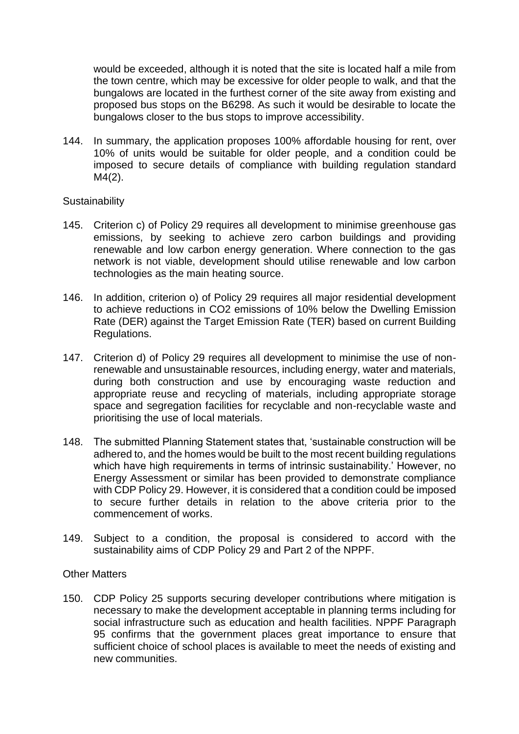would be exceeded, although it is noted that the site is located half a mile from the town centre, which may be excessive for older people to walk, and that the bungalows are located in the furthest corner of the site away from existing and proposed bus stops on the B6298. As such it would be desirable to locate the bungalows closer to the bus stops to improve accessibility.

144. In summary, the application proposes 100% affordable housing for rent, over 10% of units would be suitable for older people, and a condition could be imposed to secure details of compliance with building regulation standard M4(2).

#### **Sustainability**

- 145. Criterion c) of Policy 29 requires all development to minimise greenhouse gas emissions, by seeking to achieve zero carbon buildings and providing renewable and low carbon energy generation. Where connection to the gas network is not viable, development should utilise renewable and low carbon technologies as the main heating source.
- 146. In addition, criterion o) of Policy 29 requires all major residential development to achieve reductions in CO2 emissions of 10% below the Dwelling Emission Rate (DER) against the Target Emission Rate (TER) based on current Building Regulations.
- 147. Criterion d) of Policy 29 requires all development to minimise the use of nonrenewable and unsustainable resources, including energy, water and materials, during both construction and use by encouraging waste reduction and appropriate reuse and recycling of materials, including appropriate storage space and segregation facilities for recyclable and non-recyclable waste and prioritising the use of local materials.
- 148. The submitted Planning Statement states that, 'sustainable construction will be adhered to, and the homes would be built to the most recent building regulations which have high requirements in terms of intrinsic sustainability.' However, no Energy Assessment or similar has been provided to demonstrate compliance with CDP Policy 29. However, it is considered that a condition could be imposed to secure further details in relation to the above criteria prior to the commencement of works.
- 149. Subject to a condition, the proposal is considered to accord with the sustainability aims of CDP Policy 29 and Part 2 of the NPPF.

#### Other Matters

150. CDP Policy 25 supports securing developer contributions where mitigation is necessary to make the development acceptable in planning terms including for social infrastructure such as education and health facilities. NPPF Paragraph 95 confirms that the government places great importance to ensure that sufficient choice of school places is available to meet the needs of existing and new communities.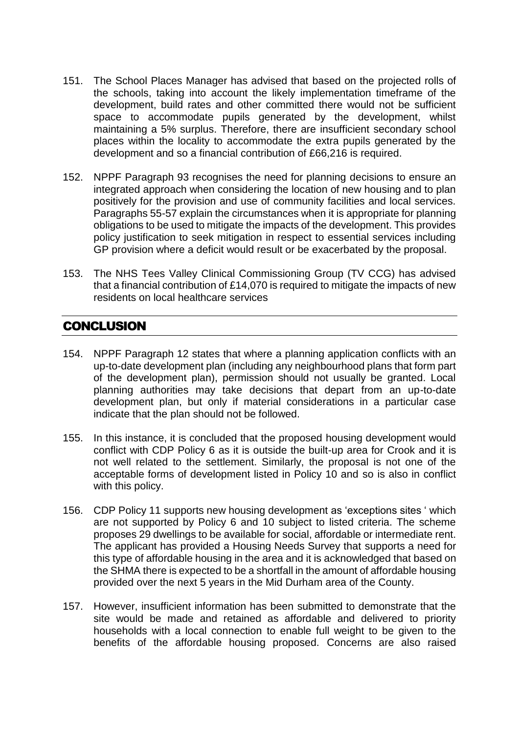- 151. The School Places Manager has advised that based on the projected rolls of the schools, taking into account the likely implementation timeframe of the development, build rates and other committed there would not be sufficient space to accommodate pupils generated by the development, whilst maintaining a 5% surplus. Therefore, there are insufficient secondary school places within the locality to accommodate the extra pupils generated by the development and so a financial contribution of £66,216 is required.
- 152. NPPF Paragraph 93 recognises the need for planning decisions to ensure an integrated approach when considering the location of new housing and to plan positively for the provision and use of community facilities and local services. Paragraphs 55-57 explain the circumstances when it is appropriate for planning obligations to be used to mitigate the impacts of the development. This provides policy justification to seek mitigation in respect to essential services including GP provision where a deficit would result or be exacerbated by the proposal.
- 153. The NHS Tees Valley Clinical Commissioning Group (TV CCG) has advised that a financial contribution of £14,070 is required to mitigate the impacts of new residents on local healthcare services

## **CONCLUSION**

- 154. NPPF Paragraph 12 states that where a planning application conflicts with an up-to-date development plan (including any neighbourhood plans that form part of the development plan), permission should not usually be granted. Local planning authorities may take decisions that depart from an up-to-date development plan, but only if material considerations in a particular case indicate that the plan should not be followed.
- 155. In this instance, it is concluded that the proposed housing development would conflict with CDP Policy 6 as it is outside the built-up area for Crook and it is not well related to the settlement. Similarly, the proposal is not one of the acceptable forms of development listed in Policy 10 and so is also in conflict with this policy.
- 156. CDP Policy 11 supports new housing development as 'exceptions sites ' which are not supported by Policy 6 and 10 subject to listed criteria. The scheme proposes 29 dwellings to be available for social, affordable or intermediate rent. The applicant has provided a Housing Needs Survey that supports a need for this type of affordable housing in the area and it is acknowledged that based on the SHMA there is expected to be a shortfall in the amount of affordable housing provided over the next 5 years in the Mid Durham area of the County.
- 157. However, insufficient information has been submitted to demonstrate that the site would be made and retained as affordable and delivered to priority households with a local connection to enable full weight to be given to the benefits of the affordable housing proposed. Concerns are also raised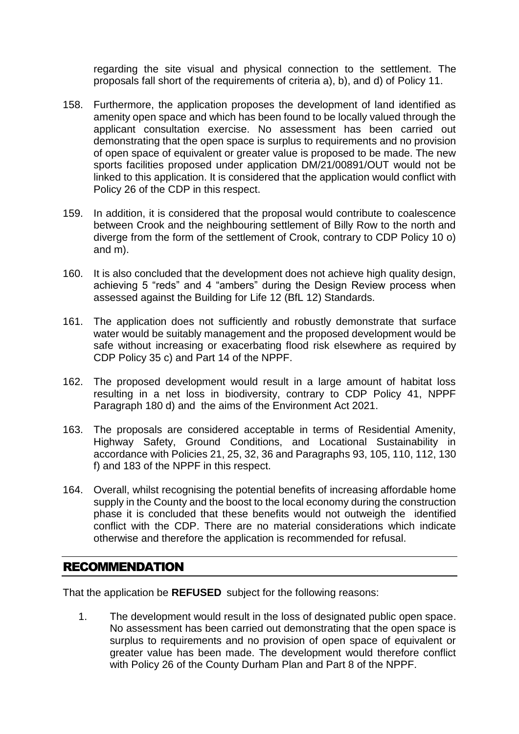regarding the site visual and physical connection to the settlement. The proposals fall short of the requirements of criteria a), b), and d) of Policy 11.

- 158. Furthermore, the application proposes the development of land identified as amenity open space and which has been found to be locally valued through the applicant consultation exercise. No assessment has been carried out demonstrating that the open space is surplus to requirements and no provision of open space of equivalent or greater value is proposed to be made. The new sports facilities proposed under application DM/21/00891/OUT would not be linked to this application. It is considered that the application would conflict with Policy 26 of the CDP in this respect.
- 159. In addition, it is considered that the proposal would contribute to coalescence between Crook and the neighbouring settlement of Billy Row to the north and diverge from the form of the settlement of Crook, contrary to CDP Policy 10 o) and m).
- 160. It is also concluded that the development does not achieve high quality design, achieving 5 "reds" and 4 "ambers" during the Design Review process when assessed against the Building for Life 12 (BfL 12) Standards.
- 161. The application does not sufficiently and robustly demonstrate that surface water would be suitably management and the proposed development would be safe without increasing or exacerbating flood risk elsewhere as required by CDP Policy 35 c) and Part 14 of the NPPF.
- 162. The proposed development would result in a large amount of habitat loss resulting in a net loss in biodiversity, contrary to CDP Policy 41, NPPF Paragraph 180 d) and the aims of the Environment Act 2021.
- 163. The proposals are considered acceptable in terms of Residential Amenity, Highway Safety, Ground Conditions, and Locational Sustainability in accordance with Policies 21, 25, 32, 36 and Paragraphs 93, 105, 110, 112, 130 f) and 183 of the NPPF in this respect.
- 164. Overall, whilst recognising the potential benefits of increasing affordable home supply in the County and the boost to the local economy during the construction phase it is concluded that these benefits would not outweigh the identified conflict with the CDP. There are no material considerations which indicate otherwise and therefore the application is recommended for refusal.

#### RECOMMENDATION

That the application be **REFUSED** subject for the following reasons:

1. The development would result in the loss of designated public open space. No assessment has been carried out demonstrating that the open space is surplus to requirements and no provision of open space of equivalent or greater value has been made. The development would therefore conflict with Policy 26 of the County Durham Plan and Part 8 of the NPPF.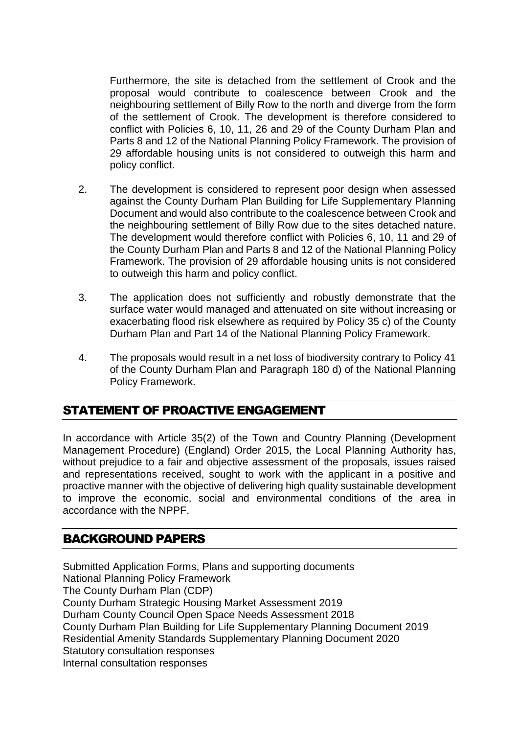Furthermore, the site is detached from the settlement of Crook and the proposal would contribute to coalescence between Crook and the neighbouring settlement of Billy Row to the north and diverge from the form of the settlement of Crook. The development is therefore considered to conflict with Policies 6, 10, 11, 26 and 29 of the County Durham Plan and Parts 8 and 12 of the National Planning Policy Framework. The provision of 29 affordable housing units is not considered to outweigh this harm and policy conflict.

- 2. The development is considered to represent poor design when assessed against the County Durham Plan Building for Life Supplementary Planning Document and would also contribute to the coalescence between Crook and the neighbouring settlement of Billy Row due to the sites detached nature. The development would therefore conflict with Policies 6, 10, 11 and 29 of the County Durham Plan and Parts 8 and 12 of the National Planning Policy Framework. The provision of 29 affordable housing units is not considered to outweigh this harm and policy conflict.
- 3. The application does not sufficiently and robustly demonstrate that the surface water would managed and attenuated on site without increasing or exacerbating flood risk elsewhere as required by Policy 35 c) of the County Durham Plan and Part 14 of the National Planning Policy Framework.
- 4. The proposals would result in a net loss of biodiversity contrary to Policy 41 of the County Durham Plan and Paragraph 180 d) of the National Planning Policy Framework.

## STATEMENT OF PROACTIVE ENGAGEMENT

In accordance with Article 35(2) of the Town and Country Planning (Development Management Procedure) (England) Order 2015, the Local Planning Authority has, without prejudice to a fair and objective assessment of the proposals, issues raised and representations received, sought to work with the applicant in a positive and proactive manner with the objective of delivering high quality sustainable development to improve the economic, social and environmental conditions of the area in accordance with the NPPF.

## BACKGROUND PAPERS

Submitted Application Forms, Plans and supporting documents National Planning Policy Framework The County Durham Plan (CDP) County Durham Strategic Housing Market Assessment 2019 Durham County Council Open Space Needs Assessment 2018 County Durham Plan Building for Life Supplementary Planning Document 2019 Residential Amenity Standards Supplementary Planning Document 2020 Statutory consultation responses Internal consultation responses